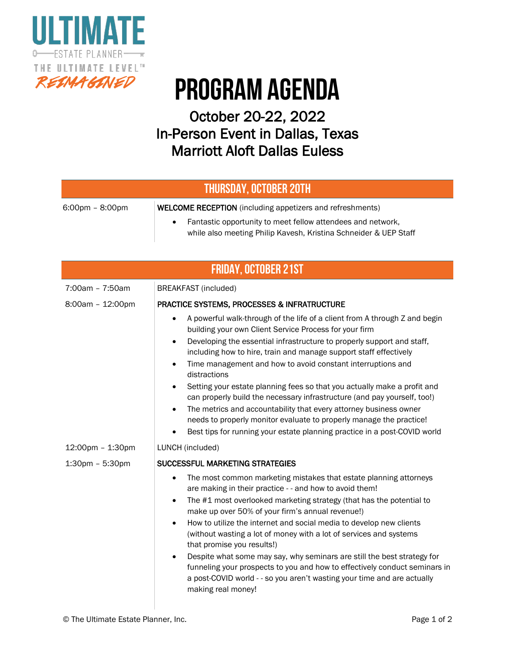

# PROGRAM Agenda

### October 20-22, 2022 In-Person Event in Dallas, Texas Marriott Aloft Dallas Euless

#### THURSDAY, October 20th

| 6:00pm – 8:00pm | <b>WELCOME RECEPTION</b> (including appetizers and refreshments)                                                                |
|-----------------|---------------------------------------------------------------------------------------------------------------------------------|
|                 | Fantastic opportunity to meet fellow attendees and network,<br>while also meeting Philip Kavesh, Kristina Schneider & UEP Staff |

| <b>FRIDAY, OCTOBER 21ST</b> |                                                                                                                                                                                                                                                                                                                                                                                                                                                                                                                                                                                                                                                                                                                                                                                            |  |
|-----------------------------|--------------------------------------------------------------------------------------------------------------------------------------------------------------------------------------------------------------------------------------------------------------------------------------------------------------------------------------------------------------------------------------------------------------------------------------------------------------------------------------------------------------------------------------------------------------------------------------------------------------------------------------------------------------------------------------------------------------------------------------------------------------------------------------------|--|
| 7:00am - 7:50am             | <b>BREAKFAST</b> (included)                                                                                                                                                                                                                                                                                                                                                                                                                                                                                                                                                                                                                                                                                                                                                                |  |
| 8:00am - 12:00pm            | <b>PRACTICE SYSTEMS, PROCESSES &amp; INFRATRUCTURE</b>                                                                                                                                                                                                                                                                                                                                                                                                                                                                                                                                                                                                                                                                                                                                     |  |
|                             | A powerful walk-through of the life of a client from A through Z and begin<br>$\bullet$<br>building your own Client Service Process for your firm<br>Developing the essential infrastructure to properly support and staff,<br>$\bullet$<br>including how to hire, train and manage support staff effectively<br>Time management and how to avoid constant interruptions and<br>$\bullet$<br>distractions<br>Setting your estate planning fees so that you actually make a profit and<br>can properly build the necessary infrastructure (and pay yourself, too!)<br>The metrics and accountability that every attorney business owner<br>needs to properly monitor evaluate to properly manage the practice!<br>Best tips for running your estate planning practice in a post-COVID world |  |
| 12:00pm - 1:30pm            | LUNCH (included)                                                                                                                                                                                                                                                                                                                                                                                                                                                                                                                                                                                                                                                                                                                                                                           |  |
| 1:30pm - 5:30pm             | SUCCESSFUL MARKETING STRATEGIES                                                                                                                                                                                                                                                                                                                                                                                                                                                                                                                                                                                                                                                                                                                                                            |  |
|                             | The most common marketing mistakes that estate planning attorneys<br>$\bullet$<br>are making in their practice - - and how to avoid them!<br>The #1 most overlooked marketing strategy (that has the potential to<br>$\bullet$<br>make up over 50% of your firm's annual revenue!)<br>How to utilize the internet and social media to develop new clients<br>$\bullet$<br>(without wasting a lot of money with a lot of services and systems<br>that promise you results!)<br>Despite what some may say, why seminars are still the best strategy for<br>funneling your prospects to you and how to effectively conduct seminars in<br>a post-COVID world - - so you aren't wasting your time and are actually<br>making real money!                                                       |  |